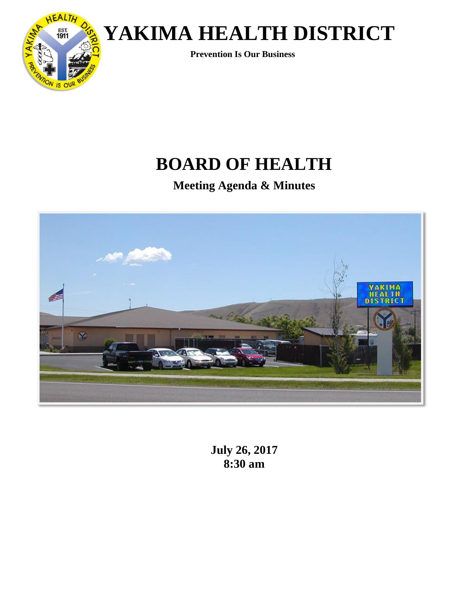

 **Prevention Is Our Business**

## **BOARD OF HEALTH**

**Meeting Agenda & Minutes**



**July 26, 2017 8:30 am**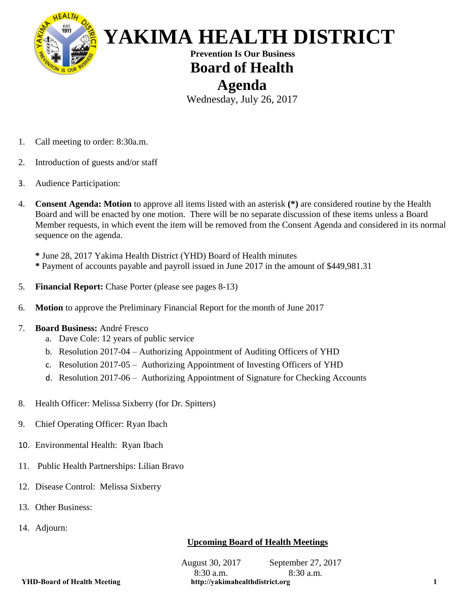

 **Prevention Is Our Business Board of Health Agenda**

Wednesday, July 26, 2017

- 1. Call meeting to order: 8:30a.m.
- 2. Introduction of guests and/or staff
- 3. Audience Participation:
- 4. **Consent Agenda: Motion** to approve all items listed with an asterisk **(\*)** are considered routine by the Health Board and will be enacted by one motion. There will be no separate discussion of these items unless a Board Member requests, in which event the item will be removed from the Consent Agenda and considered in its normal sequence on the agenda.

**\*** June 28, 2017 Yakima Health District (YHD) Board of Health minutes **\*** Payment of accounts payable and payroll issued in June 2017 in the amount of \$449,981.31

- 5. **Financial Report:** Chase Porter (please see pages 8-13)
- 6. **Motion** to approve the Preliminary Financial Report for the month of June 2017
- 7. **Board Business:** André Fresco
	- a. Dave Cole: 12 years of public service
	- b. Resolution 2017-04 Authorizing Appointment of Auditing Officers of YHD
	- c. Resolution 2017-05 Authorizing Appointment of Investing Officers of YHD
	- d. Resolution 2017-06 Authorizing Appointment of Signature for Checking Accounts
- 8. Health Officer: Melissa Sixberry (for Dr. Spitters)
- 9. Chief Operating Officer: Ryan Ibach
- 10. Environmental Health: Ryan Ibach
- 11. Public Health Partnerships: Lilian Bravo
- 12. Disease Control: Melissa Sixberry
- 13. Other Business:
- 14. Adjourn:

### **Upcoming Board of Health Meetings**

August 30, 2017 8:30 a.m. September 27, 2017 8:30 a.m. **YHD-Board of Health Meeting http://yakimahealthdistrict.org 1**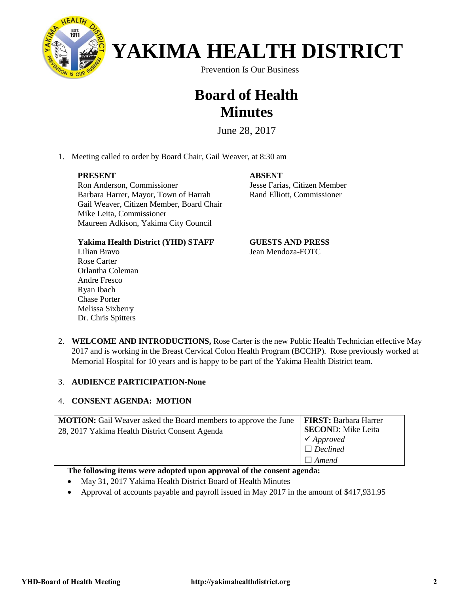

Prevention Is Our Business

### **Board of Health Minutes**

June 28, 2017

1. Meeting called to order by Board Chair, Gail Weaver, at 8:30 am

#### **PRESENT**

Ron Anderson, Commissioner Barbara Harrer, Mayor, Town of Harrah Gail Weaver, Citizen Member, Board Chair Mike Leita, Commissioner Maureen Adkison, Yakima City Council

**ABSENT** Jesse Farias, Citizen Member Rand Elliott, Commissioner

#### **Yakima Health District (YHD) STAFF**

Lilian Bravo Rose Carter Orlantha Coleman Andre Fresco Ryan Ibach Chase Porter Melissa Sixberry Dr. Chris Spitters

#### **GUESTS AND PRESS** Jean Mendoza-FOTC

2. **WELCOME AND INTRODUCTIONS,** Rose Carter is the new Public Health Technician effective May 2017 and is working in the Breast Cervical Colon Health Program (BCCHP). Rose previously worked at Memorial Hospital for 10 years and is happy to be part of the Yakima Health District team.

#### 3. **AUDIENCE PARTICIPATION-None**

### 4. **CONSENT AGENDA: MOTION**

| <b>MOTION:</b> Gail Weaver asked the Board members to approve the June | <b>FIRST: Barbara Harrer</b> |
|------------------------------------------------------------------------|------------------------------|
| 28, 2017 Yakima Health District Consent Agenda                         | <b>SECOND:</b> Mike Leita    |
|                                                                        | $\checkmark$ Approved        |
|                                                                        | $\Box$ Declined              |
|                                                                        | $\Box$ Amend                 |

#### **The following items were adopted upon approval of the consent agenda:**

- May 31, 2017 Yakima Health District Board of Health Minutes
- Approval of accounts payable and payroll issued in May 2017 in the amount of \$417,931.95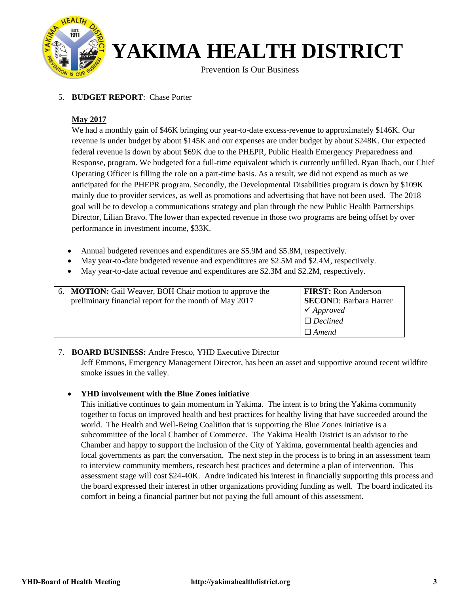

Prevention Is Our Business

#### 5. **BUDGET REPORT**: Chase Porter

#### **May 2017**

We had a monthly gain of \$46K bringing our year-to-date excess-revenue to approximately \$146K. Our revenue is under budget by about \$145K and our expenses are under budget by about \$248K. Our expected federal revenue is down by about \$69K due to the PHEPR, Public Health Emergency Preparedness and Response, program. We budgeted for a full-time equivalent which is currently unfilled. Ryan Ibach, our Chief Operating Officer is filling the role on a part-time basis. As a result, we did not expend as much as we anticipated for the PHEPR program. Secondly, the Developmental Disabilities program is down by \$109K mainly due to provider services, as well as promotions and advertising that have not been used. The 2018 goal will be to develop a communications strategy and plan through the new Public Health Partnerships Director, Lilian Bravo. The lower than expected revenue in those two programs are being offset by over performance in investment income, \$33K.

- Annual budgeted revenues and expenditures are \$5.9M and \$5.8M, respectively.
- May year-to-date budgeted revenue and expenditures are \$2.5M and \$2.4M, respectively.
- May year-to-date actual revenue and expenditures are \$2.3M and \$2.2M, respectively.

| 6. <b>MOTION:</b> Gail Weaver, BOH Chair motion to approve the<br>preliminary financial report for the month of May 2017 | <b>FIRST:</b> Ron Anderson<br><b>SECOND: Barbara Harrer</b> |
|--------------------------------------------------------------------------------------------------------------------------|-------------------------------------------------------------|
|                                                                                                                          | $\checkmark$ Approved                                       |
|                                                                                                                          | $\Box$ Declined                                             |
|                                                                                                                          | $\Box$ Amend                                                |

#### 7. **BOARD BUSINESS:** Andre Fresco, YHD Executive Director

Jeff Emmons, Emergency Management Director, has been an asset and supportive around recent wildfire smoke issues in the valley.

#### • **YHD involvement with the Blue Zones initiative**

This initiative continues to gain momentum in Yakima. The intent is to bring the Yakima community together to focus on improved health and best practices for healthy living that have succeeded around the world. The Health and Well-Being Coalition that is supporting the Blue Zones Initiative is a subcommittee of the local Chamber of Commerce. The Yakima Health District is an advisor to the Chamber and happy to support the inclusion of the City of Yakima, governmental health agencies and local governments as part the conversation. The next step in the process is to bring in an assessment team to interview community members, research best practices and determine a plan of intervention. This assessment stage will cost \$24-40K. Andre indicated his interest in financially supporting this process and the board expressed their interest in other organizations providing funding as well. The board indicated its comfort in being a financial partner but not paying the full amount of this assessment.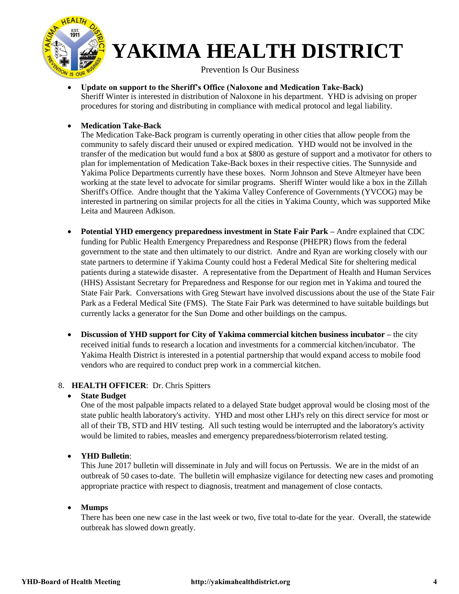

Prevention Is Our Business

- **Update on support to the Sheriff's Office (Naloxone and Medication Take-Back)**  Sheriff Winter is interested in distribution of Naloxone in his department. YHD is advising on proper procedures for storing and distributing in compliance with medical protocol and legal liability.
- **Medication Take-Back**

The Medication Take-Back program is currently operating in other cities that allow people from the community to safely discard their unused or expired medication. YHD would not be involved in the transfer of the medication but would fund a box at \$800 as gesture of support and a motivator for others to plan for implementation of Medication Take-Back boxes in their respective cities. The Sunnyside and Yakima Police Departments currently have these boxes. Norm Johnson and Steve Altmeyer have been working at the state level to advocate for similar programs. Sheriff Winter would like a box in the Zillah Sheriff's Office. Andre thought that the Yakima Valley Conference of Governments (YVCOG) may be interested in partnering on similar projects for all the cities in Yakima County, which was supported Mike Leita and Maureen Adkison.

- **Potential YHD emergency preparedness investment in State Fair Park –** Andre explained that CDC funding for Public Health Emergency Preparedness and Response (PHEPR) flows from the federal government to the state and then ultimately to our district. Andre and Ryan are working closely with our state partners to determine if Yakima County could host a Federal Medical Site for sheltering medical patients during a statewide disaster. A representative from the Department of Health and Human Services (HHS) Assistant Secretary for Preparedness and Response for our region met in Yakima and toured the State Fair Park. Conversations with Greg Stewart have involved discussions about the use of the State Fair Park as a Federal Medical Site (FMS). The State Fair Park was determined to have suitable buildings but currently lacks a generator for the Sun Dome and other buildings on the campus.
- **Discussion of YHD support for City of Yakima commercial kitchen business incubator –** the city received initial funds to research a location and investments for a commercial kitchen/incubator. The Yakima Health District is interested in a potential partnership that would expand access to mobile food vendors who are required to conduct prep work in a commercial kitchen.

#### 8. **HEALTH OFFICER**: Dr. Chris Spitters

### • **State Budget**

One of the most palpable impacts related to a delayed State budget approval would be closing most of the state public health laboratory's activity. YHD and most other LHJ's rely on this direct service for most or all of their TB, STD and HIV testing. All such testing would be interrupted and the laboratory's activity would be limited to rabies, measles and emergency preparedness/bioterrorism related testing.

### • **YHD Bulletin**:

This June 2017 bulletin will disseminate in July and will focus on Pertussis. We are in the midst of an outbreak of 50 cases to-date. The bulletin will emphasize vigilance for detecting new cases and promoting appropriate practice with respect to diagnosis, treatment and management of close contacts.

#### • **Mumps**

There has been one new case in the last week or two, five total to-date for the year. Overall, the statewide outbreak has slowed down greatly.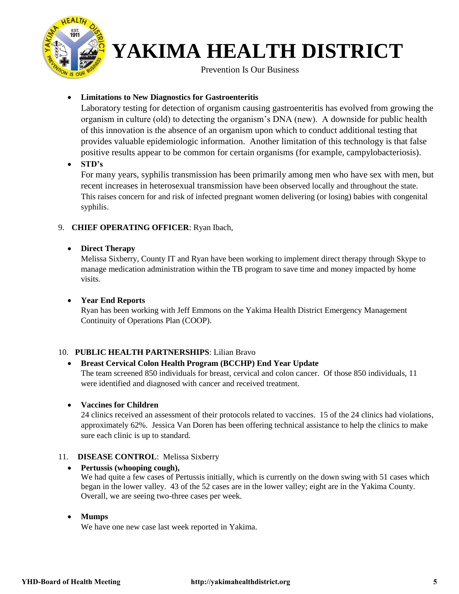

**Prevention Is Our Business** 

### • **Limitations to New Diagnostics for Gastroenteritis**

Laboratory testing for detection of organism causing gastroenteritis has evolved from growing the organism in culture (old) to detecting the organism's DNA (new). A downside for public health of this innovation is the absence of an organism upon which to conduct additional testing that provides valuable epidemiologic information. Another limitation of this technology is that false positive results appear to be common for certain organisms (for example, campylobacteriosis).

• **STD's**

For many years, syphilis transmission has been primarily among men who have sex with men, but recent increases in heterosexual transmission have been observed locally and throughout the state. This raises concern for and risk of infected pregnant women delivering (or losing) babies with congenital syphilis.

### 9. **CHIEF OPERATING OFFICER**: Ryan Ibach,

### • **Direct Therapy**

Melissa Sixberry, County IT and Ryan have been working to implement direct therapy through Skype to manage medication administration within the TB program to save time and money impacted by home visits.

### • **Year End Reports**

Ryan has been working with Jeff Emmons on the Yakima Health District Emergency Management Continuity of Operations Plan (COOP).

### 10. **PUBLIC HEALTH PARTNERSHIPS**: Lilian Bravo

### • **Breast Cervical Colon Health Program (BCCHP) End Year Update**

The team screened 850 individuals for breast, cervical and colon cancer. Of those 850 individuals, 11 were identified and diagnosed with cancer and received treatment.

#### • **Vaccines for Children**

24 clinics received an assessment of their protocols related to vaccines. 15 of the 24 clinics had violations, approximately 62%. Jessica Van Doren has been offering technical assistance to help the clinics to make sure each clinic is up to standard.

#### 11. **DISEASE CONTROL**: Melissa Sixberry

#### • **Pertussis (whooping cough),**

We had quite a few cases of Pertussis initially, which is currently on the down swing with 51 cases which began in the lower valley. 43 of the 52 cases are in the lower valley; eight are in the Yakima County. Overall, we are seeing two-three cases per week.

#### • **Mumps**

We have one new case last week reported in Yakima.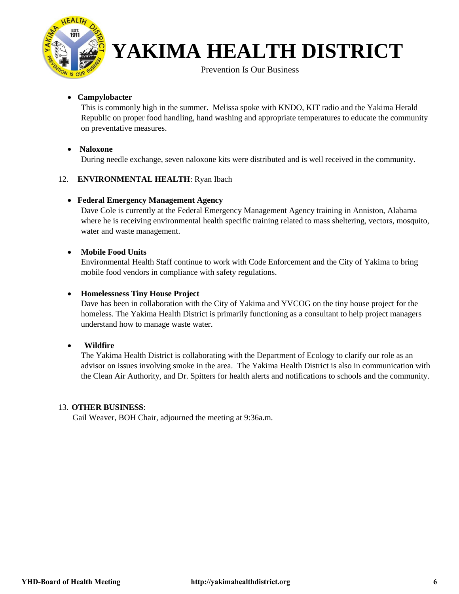

Prevention Is Our Business

#### • **Campylobacter**

This is commonly high in the summer. Melissa spoke with KNDO, KIT radio and the Yakima Herald Republic on proper food handling, hand washing and appropriate temperatures to educate the community on preventative measures.

#### • **Naloxone**

During needle exchange, seven naloxone kits were distributed and is well received in the community.

#### 12. **ENVIRONMENTAL HEALTH**: Ryan Ibach

#### • **Federal Emergency Management Agency**

Dave Cole is currently at the Federal Emergency Management Agency training in Anniston, Alabama where he is receiving environmental health specific training related to mass sheltering, vectors, mosquito, water and waste management.

#### • **Mobile Food Units**

Environmental Health Staff continue to work with Code Enforcement and the City of Yakima to bring mobile food vendors in compliance with safety regulations.

#### • **Homelessness Tiny House Project**

Dave has been in collaboration with the City of Yakima and YVCOG on the tiny house project for the homeless. The Yakima Health District is primarily functioning as a consultant to help project managers understand how to manage waste water.

#### • **Wildfire**

The Yakima Health District is collaborating with the Department of Ecology to clarify our role as an advisor on issues involving smoke in the area. The Yakima Health District is also in communication with the Clean Air Authority, and Dr. Spitters for health alerts and notifications to schools and the community.

#### 13. **OTHER BUSINESS**:

Gail Weaver, BOH Chair, adjourned the meeting at 9:36a.m.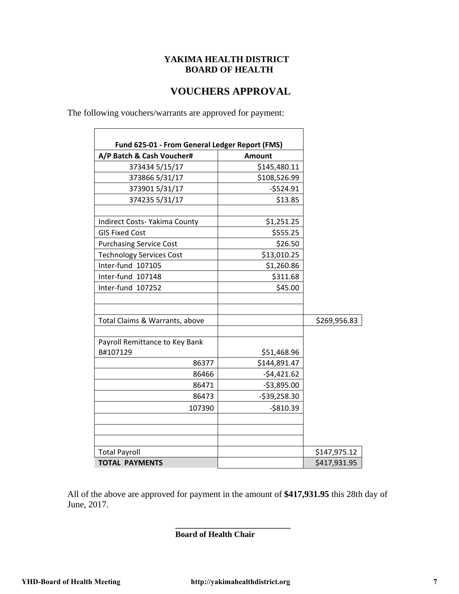### **VOUCHERS APPROVAL**

The following vouchers/warrants are approved for payment:

| A/P Batch & Cash Voucher#            | <b>Amount</b> |              |
|--------------------------------------|---------------|--------------|
| 373434 5/15/17                       | \$145,480.11  |              |
| 373866 5/31/17                       | \$108,526.99  |              |
| 3739015/31/17                        | $-$524.91$    |              |
| 374235 5/31/17                       | \$13.85       |              |
| <b>Indirect Costs- Yakima County</b> | \$1,251.25    |              |
| <b>GIS Fixed Cost</b>                | \$555.25      |              |
| <b>Purchasing Service Cost</b>       | \$26.50       |              |
| <b>Technology Services Cost</b>      | \$13,010.25   |              |
| Inter-fund 107105                    | \$1,260.86    |              |
| Inter-fund 107148                    | \$311.68      |              |
| Inter-fund 107252                    | \$45.00       |              |
| Total Claims & Warrants, above       |               | \$269,956.83 |
| Payroll Remittance to Key Bank       |               |              |
| B#107129                             | \$51,468.96   |              |
| 86377                                | \$144,891.47  |              |
| 86466                                | $-54,421.62$  |              |
| 86471                                | $-53,895.00$  |              |
| 86473                                | -\$39,258.30  |              |
| 107390                               | $-$810.39$    |              |
|                                      |               |              |
| <b>Total Payroll</b>                 |               | \$147,975.12 |
| <b>TOTAL PAYMENTS</b>                |               | \$417,931.95 |

All of the above are approved for payment in the amount of **\$417,931.95** this 28th day of June, 2017.

**\_\_\_\_\_\_\_\_\_\_\_\_\_\_\_\_\_\_\_\_\_\_\_\_\_\_\_\_** 

 **Board of Health Chair**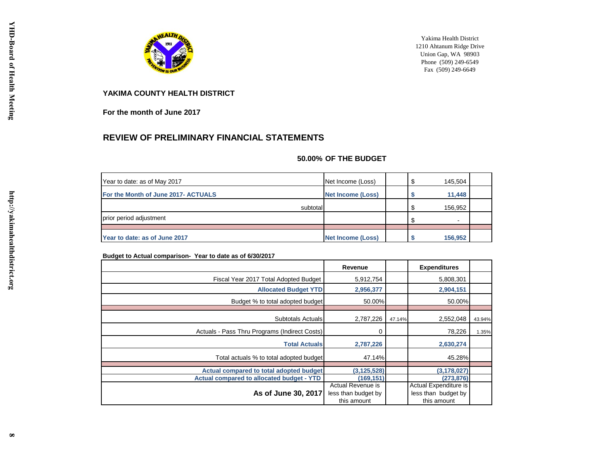

Yakima Health District 1210 Ahtanum Ridge Drive Union Gap, WA 98903 Phone (509) 249-6549 Fax (509) 249-6649

#### **YAKIMA COUNTY HEALTH DISTRICT**

**For the month of June 2017**

#### **REVIEW OF PRELIMINARY FINANCIAL STATEMENTS**

#### **50.00% OF THE BUDGET**

| Year to date: as of May 2017        | Net Income (Loss)        | £.  | 145,504 |  |
|-------------------------------------|--------------------------|-----|---------|--|
| For the Month of June 2017- ACTUALS | <b>Net Income (Loss)</b> |     | 11,448  |  |
| subtotal                            |                          | -\$ | 156,952 |  |
| prior period adjustment             |                          | -\$ | -       |  |
|                                     |                          |     |         |  |
| Year to date: as of June 2017       | <b>Net Income (Loss)</b> |     | 156,952 |  |

#### **Budget to Actual comparison- Year to date as of 6/30/2017**

|                                                  | Revenue                                                 |        | <b>Expenditures</b>                                         |        |
|--------------------------------------------------|---------------------------------------------------------|--------|-------------------------------------------------------------|--------|
| Fiscal Year 2017 Total Adopted Budget            | 5,912,754                                               |        | 5,808,301                                                   |        |
| <b>Allocated Budget YTD</b>                      | 2,956,377                                               |        | 2,904,151                                                   |        |
| Budget % to total adopted budget                 | 50.00%                                                  |        | 50.00%                                                      |        |
| Subtotals Actuals                                | 2,787,226                                               | 47.14% | 2,552,048                                                   | 43.94% |
| Actuals - Pass Thru Programs (Indirect Costs)    | 0                                                       |        | 78,226                                                      | 1.35%  |
| <b>Total Actuals</b>                             | 2,787,226                                               |        | 2,630,274                                                   |        |
| Total actuals % to total adopted budget          | 47.14%                                                  |        | 45.28%                                                      |        |
| Actual compared to total adopted budget          | (3, 125, 528)                                           |        | (3, 178, 027)                                               |        |
| <b>Actual compared to allocated budget - YTD</b> | (169, 151)                                              |        | (273, 876)                                                  |        |
| As of June 30, 2017                              | Actual Revenue is<br>less than budget by<br>this amount |        | Actual Expenditure is<br>less than budget by<br>this amount |        |

http://yakimahealthdistrict.org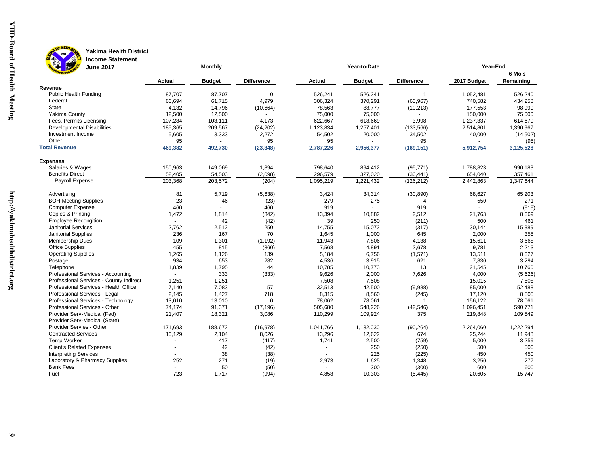

**B** of

#### HEALTH DIST **Yakima Health District Income Statement**

| <b>Monthly</b><br><b>June 2017</b><br>Year-to-Date |         |                |                   |                          | Year-End       |                   |             |           |
|----------------------------------------------------|---------|----------------|-------------------|--------------------------|----------------|-------------------|-------------|-----------|
|                                                    |         |                |                   |                          |                |                   |             | $6$ Mo's  |
|                                                    | Actual  | <b>Budget</b>  | <b>Difference</b> | Actual                   | <b>Budget</b>  | <b>Difference</b> | 2017 Budget | Remaining |
| Revenue<br><b>Public Health Funding</b>            | 87.707  | 87,707         | $\Omega$          | 526,241                  | 526,241        | $\mathbf{1}$      | 1,052,481   | 526,240   |
| Federal                                            | 66,694  | 61,715         | 4,979             | 306,324                  | 370,291        | (63, 967)         | 740,582     | 434,258   |
| <b>State</b>                                       | 4,132   | 14,796         | (10, 664)         | 78,563                   | 88,777         | (10, 213)         | 177,553     | 98,990    |
| Yakima County                                      | 12,500  | 12,500         |                   | 75.000                   | 75,000         |                   | 150,000     | 75.000    |
| Fees, Permits Licensing                            | 107,284 | 103,111        | 4,173             | 622,667                  | 618,669        | 3,998             | 1,237,337   | 614,670   |
| <b>Developmental Disabilities</b>                  | 185,365 | 209,567        | (24, 202)         | 1,123,834                | 1,257,401      | (133, 566)        | 2,514,801   | 1,390,967 |
| Investment Income                                  | 5,605   | 3,333          | 2,272             | 54,502                   | 20,000         | 34,502            | 40,000      | (14,502)  |
| Other                                              | 95      |                | 95                | 95                       |                | 95                |             | (95)      |
| <b>Total Revenue</b>                               | 469,382 | 492,730        | (23, 348)         | 2,787,226                | 2,956,377      | (169, 151)        | 5,912,754   | 3,125,528 |
|                                                    |         |                |                   |                          |                |                   |             |           |
| <b>Expenses</b>                                    |         |                |                   |                          |                |                   |             |           |
| Salaries & Wages                                   | 150,963 | 149,069        | 1,894             | 798,640                  | 894,412        | (95, 771)         | 1,788,823   | 990,183   |
| <b>Benefits-Direct</b>                             | 52,405  | 54,503         | (2,098)           | 296,579                  | 327,020        | (30, 441)         | 654,040     | 357,461   |
| Payroll Expense                                    | 203,368 | 203,572        | (204)             | 1,095,219                | 1,221,432      | (126, 212)        | 2,442,863   | 1,347,644 |
| Advertising                                        | 81      | 5,719          | (5,638)           | 3,424                    | 34,314         | (30, 890)         | 68,627      | 65,203    |
| <b>BOH Meeting Supplies</b>                        | 23      | 46             | (23)              | 279                      | 275            | $\overline{4}$    | 550         | 271       |
| <b>Computer Expense</b>                            | 460     |                | 460               | 919                      | $\overline{a}$ | 919               |             | (919)     |
| Copies & Printing                                  | 1,472   | 1,814          | (342)             | 13,394                   | 10,882         | 2,512             | 21,763      | 8,369     |
| <b>Employee Recongition</b>                        |         | 42             | (42)              | 39                       | 250            | (211)             | 500         | 461       |
| <b>Janitorial Services</b>                         | 2,762   | 2,512          | 250               | 14,755                   | 15,072         | (317)             | 30,144      | 15,389    |
| Janitorial Supplies                                | 236     | 167            | 70                | 1,645                    | 1,000          | 645               | 2,000       | 355       |
| Membership Dues                                    | 109     | 1,301          | (1, 192)          | 11,943                   | 7,806          | 4,138             | 15,611      | 3,668     |
| <b>Office Supplies</b>                             | 455     | 815            | (360)             | 7,568                    | 4,891          | 2,678             | 9,781       | 2,213     |
| <b>Operating Supplies</b>                          | 1,265   | 1,126          | 139               | 5,184                    | 6,756          | (1,571)           | 13,511      | 8,327     |
| Postage                                            | 934     | 653            | 282               | 4,536                    | 3,915          | 621               | 7,830       | 3,294     |
| Telephone                                          | 1,839   | 1,795          | 44                | 10,785                   | 10,773         | 13                | 21,545      | 10,760    |
| Professional Services - Accounting                 |         | 333            | (333)             | 9,626                    | 2,000          | 7,626             | 4,000       | (5,626)   |
| Professional Services - County Indirect            | 1,251   | 1,251          | $\blacksquare$    | 7,508                    | 7,508          |                   | 15,015      | 7,508     |
| Professional Services - Health Officer             | 7,140   | 7,083          | 57                | 32,513                   | 42,500         | (9,988)           | 85,000      | 52,488    |
| Professional Services - Legal                      | 2,145   | 1,427          | 718               | 8,315                    | 8,560          | (245)             | 17,120      | 8,805     |
| Professional Services - Technology                 | 13,010  | 13,010         | $\Omega$          | 78,062                   | 78,061         | $\overline{1}$    | 156,122     | 78,061    |
| Professional Services - Other                      | 74,174  | 91,371         | (17, 196)         | 505,680                  | 548,226        | (42, 546)         | 1,096,451   | 590,771   |
| Provider Serv-Medical (Fed)                        | 21,407  | 18,321         | 3,086             | 110,299                  | 109,924        | 375               | 219,848     | 109,549   |
| Provider Serv-Medical (State)                      |         | $\overline{a}$ |                   |                          |                |                   |             |           |
| Provider Servies - Other                           | 171,693 | 188,672        | (16, 978)         | 1,041,766                | 1,132,030      | (90, 264)         | 2,264,060   | 1,222,294 |
| <b>Contracted Services</b>                         | 10,129  | 2,104          | 8,026             | 13,296                   | 12,622         | 674               | 25,244      | 11,948    |
| <b>Temp Worker</b>                                 |         | 417            | (417)             | 1,741                    | 2,500          | (759)             | 5,000       | 3,259     |
| <b>Client's Related Expenses</b>                   |         | 42             | (42)              | $\overline{\phantom{a}}$ | 250            | (250)             | 500         | 500       |
| <b>Interpreting Services</b>                       |         | 38             | (38)              |                          | 225            | (225)             | 450         | 450       |
| Laboratory & Pharmacy Supplies                     | 252     | 271            | (19)              | 2,973                    | 1,625          | 1,348             | 3,250       | 277       |
| <b>Bank Fees</b>                                   |         | 50             | (50)              | $\overline{a}$           | 300            | (300)             | 600         | 600       |
| Fuel                                               | 723     | 1,717          | (994)             | 4,858                    | 10,303         | (5, 445)          | 20,605      | 15,747    |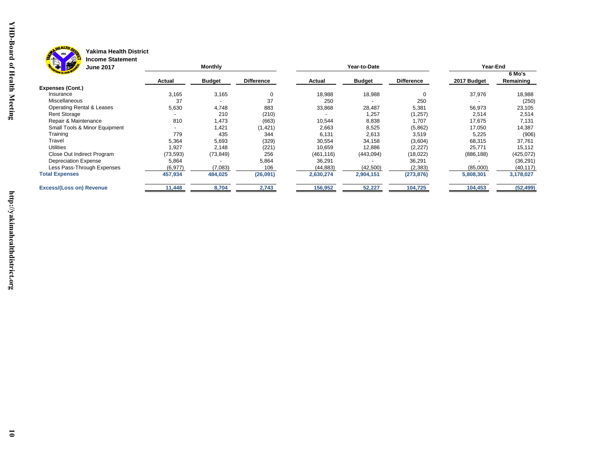

# **Brag**

#### **Yakima Health District Income Statement**

| "一<br><b>June 2017</b>          |           | <b>Monthly</b>           |                   |            | Year-to-Date  |                   | Year-End    |                     |  |
|---------------------------------|-----------|--------------------------|-------------------|------------|---------------|-------------------|-------------|---------------------|--|
|                                 | Actual    | <b>Budget</b>            | <b>Difference</b> | Actual     | <b>Budget</b> | <b>Difference</b> | 2017 Budget | 6 Mo's<br>Remaining |  |
| <b>Expenses (Cont.)</b>         |           |                          |                   |            |               |                   |             |                     |  |
| Insurance                       | 3,165     | 3,165                    | 0                 | 18,988     | 18,988        |                   | 37,976      | 18,988              |  |
| Miscellaneous                   | 37        | $\overline{\phantom{a}}$ | 37                | 250        |               | 250               |             | (250)               |  |
| Operating Rental & Leases       | 5,630     | 4,748                    | 883               | 33,868     | 28,487        | 5,381             | 56,973      | 23,105              |  |
| <b>Rent Storage</b>             |           | 210                      | (210)             |            | 1,257         | (1, 257)          | 2,514       | 2,514               |  |
| Repair & Maintenance            | 810       | .473                     | (663)             | 10,544     | 8,838         | 1,707             | 17,675      | 7,131               |  |
| Small Tools & Minor Equipment   |           | 1,421                    | (1, 421)          | 2,663      | 8,525         | (5,862)           | 17,050      | 14,387              |  |
| Training                        | 779       | 435                      | 344               | 6,131      | 2,613         | 3,519             | 5,225       | (906)               |  |
| Travel                          | 5,364     | 5,693                    | (329)             | 30,554     | 34,158        | (3,604)           | 68,315      | 37,761              |  |
| <b>Utilities</b>                | 1,927     | 2,148                    | (221)             | 10,659     | 12,886        | (2, 227)          | 25,771      | 15,112              |  |
| Close Out Indirect Program      | (73, 593) | (73, 849)                | 256               | (461, 116) | (443,094)     | (18,022)          | (886, 188)  | (425,072)           |  |
| Depreciation Expense            | 5,864     |                          | 5,864             | 36,291     |               | 36,291            |             | (36, 291)           |  |
| Less Pass-Through Expenses      | (6, 977)  | (7,083)                  | 106               | (44,883)   | (42, 500)     | (2, 383)          | (85,000)    | (40, 117)           |  |
| <b>Total Expenses</b>           | 457,934   | 484,025                  | (26, 091)         | 2,630,274  | 2,904,151     | (273, 876)        | 5,808,301   | 3,178,027           |  |
| <b>Excess/(Loss on) Revenue</b> | 11,448    | 8,704                    | 2,743             | 156,952    | 52,227        | 104,725           | 104,453     | (52, 499)           |  |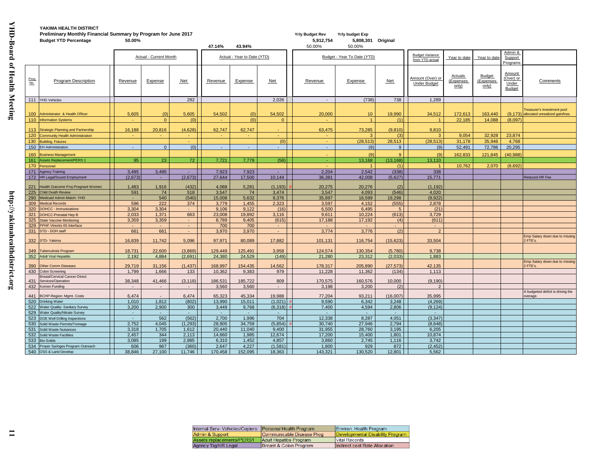| Preliminary Monthly Financial Summary by Program for June 2017<br><b>Budget YTD Percentage</b><br>50.00% |                                                            |                  |                        |                |                |                             | <b>Yrly Budget Rev</b><br>5,912,754 | <b>Yrly budget Exp</b><br>5,808,301 Original |                             |                          |                                           |                               |                                     |                                               |                                                                       |
|----------------------------------------------------------------------------------------------------------|------------------------------------------------------------|------------------|------------------------|----------------|----------------|-----------------------------|-------------------------------------|----------------------------------------------|-----------------------------|--------------------------|-------------------------------------------|-------------------------------|-------------------------------------|-----------------------------------------------|-----------------------------------------------------------------------|
|                                                                                                          |                                                            |                  |                        |                | 47.14%         | 43.94%                      |                                     | 50.00%                                       | 50.00%                      |                          |                                           |                               |                                     |                                               |                                                                       |
|                                                                                                          |                                                            |                  | Actual - Current Month |                |                | Actual - Year to Date (YTD) |                                     |                                              | Budget - Year To Date (YTD) |                          | <b>Budget Variance</b><br>from YTD actual | Year to date                  | Year to date                        | Admin &<br>Support<br>Programs                |                                                                       |
| Prog<br>No.                                                                                              | <b>Program Description</b>                                 | Revenue          | Expense                | <b>Net</b>     | Revenue        | Expense                     | Net                                 | Revenue                                      | Expense                     | <b>Net</b>               | Amount (Over) or<br><b>Under Budget</b>   | Actuals<br>(Expenses<br>only) | <b>Budget</b><br>(Expenses<br>only) | Amount<br>(Over) or<br>Under<br><b>Budget</b> | Comments                                                              |
|                                                                                                          | 111 YHD Vehicles                                           |                  |                        | 292            |                |                             | 2,026                               | $\sim$                                       | (738)                       | 738                      | 1,289                                     |                               |                                     |                                               |                                                                       |
| 100                                                                                                      | Administrator & Health Officer<br>110 Information Systems  | 5,605            | (0)<br>$\mathbf{0}$    | 5,605<br>(0)   | 54,502         | (0)<br>(0)                  | 54,502<br>$\mathbf{0}$              | 20,000                                       | 10                          | 19.990<br>(1)            | 34,512<br>$\blacktriangleleft$            | 172,613<br>22,185             | 163.440<br>14,088                   | (9.173)<br>(8,097)                            | <b>Treasurer's Investment pool</b><br>allocated unrealized gain/loss. |
|                                                                                                          |                                                            |                  |                        |                |                |                             |                                     |                                              |                             |                          |                                           |                               |                                     |                                               |                                                                       |
| 113                                                                                                      | <b>Strategic Planning and Partnership</b>                  | 16,188           | 20,816                 | (4,628)        | 62,747         | 62,747                      |                                     | 63.475                                       | 73,285                      | (9.810)                  | 9.810                                     |                               |                                     |                                               |                                                                       |
| 120                                                                                                      | Community Health Administration                            |                  |                        | $\sim$         | $\sim$         | $\sim$                      |                                     | $\overline{\phantom{0}}$                     |                             | (3)                      | 3                                         | 9.054                         | 32.928                              | 23,874                                        |                                                                       |
| 130                                                                                                      | <b>Building, Fixtures</b>                                  |                  |                        |                |                |                             | (0)                                 |                                              | (28, 513)                   | 28,513                   | (28, 513)                                 | 31,178                        | 35,946                              | 4,768                                         |                                                                       |
| 150                                                                                                      | <b>EH Administration</b>                                   | $\sim$           | $\mathbf{0}$           | (0)            | $\sim$         | $\mathcal{L}_{\mathcal{C}}$ | $\sim$                              | $\sim$                                       | (9)                         | 9 <sup>1</sup>           | (9)                                       | 52,491                        | 72,786                              | 20,295                                        |                                                                       |
| 160                                                                                                      | <b>Business Management</b>                                 |                  |                        |                |                |                             |                                     |                                              | (9)                         | $\mathbf{Q}$             | (9)                                       | 162,833                       | 121,845                             | (40, 988)                                     |                                                                       |
| 161                                                                                                      | ssets Replacement/PERS 1                                   | 95               | 23                     | 72             | 7,721          | 7,779                       | (58)                                | $\sim$                                       | 13,168                      | (13, 168)                | 13.110                                    |                               |                                     |                                               |                                                                       |
| 170<br>171                                                                                               | Personnel                                                  |                  | 3,495                  |                | 7,923          | 7,923                       | ÷.                                  | 2,204                                        | 2,542                       | (1)<br>(338)             | $\overline{1}$<br>338                     | 10.762                        | 2.070                               | (8.692)                                       |                                                                       |
| 172                                                                                                      | <b>Agency Training</b><br><b>IR Legal/Sound Employment</b> | 3,495<br>(2,673) | $\sim$                 | (2,673)        | 27,644         | 17,500                      | 10,144                              | 36,381                                       | 42,008                      | (5,627)                  | 15,771                                    |                               |                                     |                                               | Reduced HR Fee                                                        |
|                                                                                                          |                                                            |                  |                        |                |                |                             |                                     |                                              |                             |                          |                                           |                               |                                     |                                               |                                                                       |
| 221                                                                                                      | lealth Outcome Proj-Pregnant Women                         | 1,483            | 1,916                  | (432)          | 4,088          | 5,281                       | (1, 193)                            | 20,275                                       | 20,276                      | (2)                      | (1, 192)                                  |                               |                                     |                                               |                                                                       |
| 225                                                                                                      | <b>Child Death Review</b>                                  | 591              | 74                     | 518            | 3,547          | 74                          | 3,474                               | 3,547                                        | 4,093                       | (546)                    | 4,020                                     |                               |                                     |                                               |                                                                       |
| 290                                                                                                      | Medicaid Admin Match-YHD                                   |                  | 540                    | (540)          | 15,008         | 5,632                       | 9,376                               | 35,897                                       | 16,599                      | 19,298                   | (9,922)                                   |                               |                                     |                                               |                                                                       |
| 309<br>320                                                                                               | <b>Medical Records</b><br><b>DOHCC - Immunizations</b>     | 596<br>3,304     | 222<br>3,304           | 374            | 3,779<br>9,106 | 1,455<br>9,122              | 2,323<br>(16)                       | 3,597<br>6,500                               | 4,152<br>6,495              | (555)<br>5 <sup>5</sup>  | 2,878<br>(21)                             |                               |                                     |                                               |                                                                       |
| 321                                                                                                      | OHCC-Prenatal Hep B                                        | 2,033            | 1,371                  | 663            | 23,008         | 19,892                      | 3,116                               | 9,611                                        | 10,224                      | (613)                    | 3,729                                     |                               |                                     |                                               |                                                                       |
| 325                                                                                                      | <b>State Vaccine Monitoring</b>                            | 3,359            | 3,359                  | $\sim$         | 8,789          | 9,405                       | (615)                               | 17,188                                       | 17,192                      | (4)                      | (611)                                     |                               |                                     |                                               |                                                                       |
| 329                                                                                                      | PPHF Vtrecks IIS Interface                                 |                  |                        | $\sim$         | 700            | 700                         | $\sim$                              | $\sim$                                       |                             | $\overline{\phantom{0}}$ | $\sim$                                    |                               |                                     |                                               |                                                                       |
| 331                                                                                                      | STD - DOH staff                                            | 661              | 661                    | $\sim$         | 3,970          | 3,970                       | $\sim$                              | 3,774                                        | 3,776                       | (2)                      | $\overline{2}$                            |                               |                                     |                                               |                                                                       |
| 332                                                                                                      | STD-Yakima                                                 | 16,839           | 11,742                 | 5,096          | 97,971         | 80,089                      | 17,882                              | 101,131                                      | 116,754                     | (15, 623)                | 33,504                                    |                               |                                     |                                               | Emp Salary down due to missing<br>2 FTE's.                            |
| 349                                                                                                      | uberculosis Program                                        | 18,731           | 22,600                 | (3,869)        | 129,449        | 125,491                     | 3,958                               | 124,574                                      | 130,354                     | (5,780)                  | 9,738                                     |                               |                                     |                                               |                                                                       |
| 352                                                                                                      | <b>Adult Viral Hepatitis</b>                               | 2.192            | 4,884                  | (2,691)        | 24,380         | 24,529                      | (149)                               | 21,280                                       | 23.312                      | (2,033)                  | 1,883                                     |                               |                                     |                                               |                                                                       |
| 390                                                                                                      | Other Comm Diseases                                        | 29,719           | 31,156                 | (1, 437)       | 168.997        | 154,435                     | 14,562                              | 178.317                                      | 205,890                     | (27, 573)                | 42,135                                    |                               |                                     |                                               | Emp Salary down due to missing<br>2 FTE's.                            |
| 430                                                                                                      | Colon Screening<br><b>Breast/Cervical Cancer-Direct</b>    | 1,799            | 1,666                  | 133            | 10,362         | 9,383                       | 979                                 | 11,228                                       | 11,362                      | (134)                    | 1,113                                     |                               |                                     |                                               |                                                                       |
| 431                                                                                                      | Services/Operation                                         | 38,348           | 41,466                 | (3, 118)       | 186,531        | 185,722                     | 809                                 | 170,575                                      | 160,576                     | 10,000                   | (9, 190)                                  |                               |                                     |                                               |                                                                       |
| 432                                                                                                      | <b>Komen Funding</b>                                       |                  |                        |                | 3.560          | 3,560                       |                                     | 3.198                                        | 3.200                       | (2)                      | $\mathcal{P}$                             |                               |                                     |                                               |                                                                       |
| 441                                                                                                      |                                                            | 6,474            |                        | 6,474          | 65,323         | 45,334                      | 19,988                              | 77,204                                       | 93,211                      | (16,007)                 | 35,995                                    |                               |                                     |                                               | A budgeted deficit is driving the                                     |
| 520                                                                                                      | 3CHP-Region: Mgmt. Costs<br>Drinking Water                 | 1,010            | 1,812                  | (802)          | 13,990         | 15.011                      | (1.021)                             | 9.590                                        | 6,342                       | 3.248                    | (4, 269)                                  |                               |                                     |                                               | overage.                                                              |
| 522                                                                                                      | <b>Nater Quality- Sanitary Survey</b>                      | 3,200            | 2,900                  | 300            | 3,449          | 9,768                       | (6, 318)                            | 7,400                                        | 4,594                       | 2,806                    | (9, 124)                                  |                               |                                     |                                               |                                                                       |
| 529                                                                                                      | Vater Quality/Nitrate Survey                               | $\sim$           | $\sim$                 | $\sim$         | $\sim$         | $\sim$                      | $\sim$                              | $\sim$                                       | $\sim$                      | $\sim$                   | - 11                                      |                               |                                     |                                               |                                                                       |
| 523                                                                                                      | DOE Well Drilling Inspections                              | $\sim$           | 562                    | (562)          | 2,700          | 1,996                       | 704                                 | 12,338                                       | 8,287                       | 4,051                    | (3, 347)                                  |                               |                                     |                                               |                                                                       |
| 530                                                                                                      | Solid Waste Permits/Tonnage                                | 2,752            | 4,045                  | (1, 293)       | 28,905         | 34,759                      | (5,854)                             | 30,740                                       | 27,946                      | 2,794                    | (8,648)                                   |                               |                                     |                                               |                                                                       |
| 531                                                                                                      | Solid Waste Nuisances                                      | 3,318            | 1,705                  | 1,612          | 20,440         | 11.040                      | 9,400                               | 31,955                                       | 28,760                      | 3,195                    | 6.205                                     |                               |                                     |                                               |                                                                       |
| 532                                                                                                      | <b>Solid Waste Facilities</b><br>io-Solids                 | 2,457            | 344<br>199             | 2,113          | 14.660         | 1,985                       | 12,674                              | 17,200                                       | 15,400                      | 1,801                    | 10.874                                    |                               |                                     |                                               |                                                                       |
| 533<br>534                                                                                               | Proper Syringes Program Outreach                           | 3.085<br>606     | 967                    | 2.885<br>(360) | 6.310<br>2.647 | 1.452<br>4.227              | 4.857<br>(1.581)                    | 3.860<br>1.800                               | 2.745<br>929                | 1.116<br>872             | 3.742<br>(2.452)                          |                               |                                     |                                               |                                                                       |
| 540                                                                                                      | OSS & Land Develop                                         | 38.846           | 27,100                 | 11,746         | 170,458        | 152,095                     | 18,363                              | 143.321                                      | 130.520                     | 12,801                   | 5,562                                     |                               |                                     |                                               |                                                                       |

| Internal Serv- Vehicles/Copiers | Personal Health Program   | Environ. Health Program          |
|---------------------------------|---------------------------|----------------------------------|
| Admin & Support                 | Communicable Disease Prog | Developmental Disability Program |
| Assets replacements/PERS1       | Adult Hepatitis Program   | <b>IVital Records</b>            |
| Agency Trg/HR Legal             | Breast & Colon Program    | Indirect cost Rate Allocation    |

**11**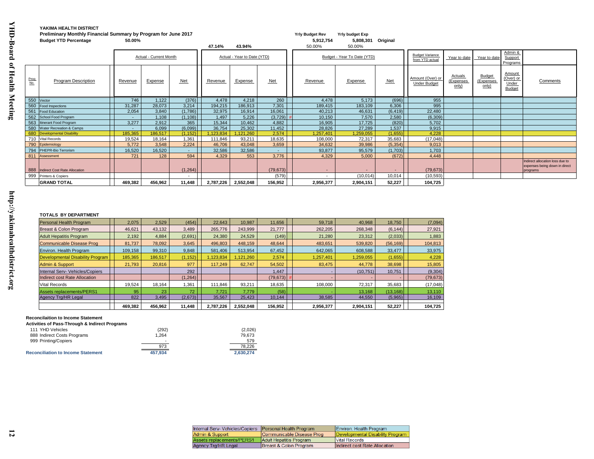|             | Preliminary Monthly Financial Summary by Program for June 2017<br><b>Budget YTD Percentage</b> | 50.00%  |                        |                          |           |                             |                          | <b>Yrly Budget Rev</b><br>5,912,754 | <b>Yrly budget Exp</b><br>5,808,301 Original |            |                                           |                               |                             |                                        |                                                                              |
|-------------|------------------------------------------------------------------------------------------------|---------|------------------------|--------------------------|-----------|-----------------------------|--------------------------|-------------------------------------|----------------------------------------------|------------|-------------------------------------------|-------------------------------|-----------------------------|----------------------------------------|------------------------------------------------------------------------------|
|             |                                                                                                |         |                        |                          | 47.14%    | 43.94%                      |                          | 50.00%                              | 50.00%                                       |            |                                           |                               |                             |                                        |                                                                              |
|             |                                                                                                |         | Actual - Current Month |                          |           | Actual - Year to Date (YTD) |                          |                                     | Budget - Year To Date (YTD)                  |            | <b>Budget Variance</b><br>from YTD actual | Year to date                  | Year to date                | Admin &<br>Support<br>Programs         |                                                                              |
| Prog<br>No. | <b>Program Description</b>                                                                     | Revenue | Expense                | <b>Net</b>               | Revenue   | Expense                     | Net                      | Revenue                             | Expense                                      | <b>Net</b> | Amount (Over) or<br><b>Under Budget</b>   | Actuals<br>(Expenses<br>only) | Budget<br>Expenses<br>only) | Amount<br>(Over) or<br>Under<br>Budget | Comments                                                                     |
|             | 550 Vector                                                                                     | 746     | 1,122                  | (376)                    | 4,478     | 4,218                       | 260                      | 4,478                               | 5,173                                        | (696)      | 955                                       |                               |                             |                                        |                                                                              |
|             | 560 Food Inspections                                                                           | 31,287  | 28,073                 | 3,214                    | 194,215   | 186,913                     | 7.301                    | 189,415                             | 183,109                                      | 6,306      | 995                                       |                               |                             |                                        |                                                                              |
|             | 561 Food Education                                                                             | 2,054   | 3,840                  | (1,786)                  | 32,975    | 16,914                      | 16,061                   | 40,213                              | 46,631                                       | (6, 419)   | 22,480                                    |                               |                             |                                        |                                                                              |
|             | 562 School Food Program                                                                        |         | 1,108                  | (1, 108)                 | 1,497     | 5.226                       | (3,729)                  | 10,150                              | 7,570                                        | 2,580      | (6, 309)                                  |                               |                             |                                        |                                                                              |
|             | 563 Itinerant Food Program                                                                     | 3,277   | 2,912                  | 365                      | 15,344    | 10,462                      | 4,882                    | 16,905                              | 17,725                                       | (820)      | 5,702                                     |                               |                             |                                        |                                                                              |
|             | 580 Water Recreation & Camps                                                                   |         | 6,099                  | (6,099)                  | 36,754    | 25,302                      | 11,452                   | 28,826                              | 27,289                                       | 1,537      | 9,915                                     |                               |                             |                                        |                                                                              |
|             | 680 Developmental Disability                                                                   | 185,365 | 186,517                | (1, 152)                 | ,123,834  | ,121,260                    | 2,574                    | ,257,401                            | 1,259,055                                    | (1,655)    | 4.228                                     |                               |                             |                                        |                                                                              |
|             | 710 Vital Records                                                                              | 19,524  | 18,164                 | 1.361                    | 111,846   | 93,211                      | 18,635                   | 108,000                             | 72,317                                       | 35,683     | (17,048)                                  |                               |                             |                                        |                                                                              |
|             | 790 Epidemiology                                                                               | 5,772   | 3,548                  | 2,224                    | 46,706    | 43,048                      | 3,659                    | 34,632                              | 39,986                                       | (5,354)    | 9,013                                     |                               |                             |                                        |                                                                              |
|             | 794 PHEPR-Bio Terrorism                                                                        | 16,520  | 16,520                 | $\sim$                   | 32,586    | 32,586                      | $\overline{\phantom{a}}$ | 93,877                              | 95,579                                       | (1,703)    | 1,703                                     |                               |                             |                                        |                                                                              |
|             | 811 Assessment                                                                                 | 721     | 128                    | 594                      | 4,329     | 553                         | 3,776                    | 4,329                               | 5,000                                        | (672)      | 4,448                                     |                               |                             |                                        |                                                                              |
|             | 888 Indirect Cost Rate Allocation                                                              |         |                        | (1, 264)                 |           |                             | (79, 673)                |                                     |                                              |            | (79, 673)                                 |                               |                             |                                        | Indirect allocation loss due to<br>expenses being down in direct<br>programs |
|             | 999 Printers & Copiers                                                                         |         |                        | $\overline{\phantom{a}}$ |           |                             | (579)                    |                                     | (10, 014)                                    | 10,014     | (10, 593)                                 |                               |                             |                                        |                                                                              |
|             | <b>GRAND TOTAL</b>                                                                             | 469,382 | 456,962                | 11,448                   | 2,787,226 | 2,552,048                   | 156,952                  | 2,956,377                           | 2,904,151                                    | 52,227     | 104,725                                   |                               |                             |                                        |                                                                              |

#### **TOTALS BY DEPARTMENT**

|                                         | יים היו רום ום שירשים |                 |          |           |           |           |  |           |           |           |           |  |
|-----------------------------------------|-----------------------|-----------------|----------|-----------|-----------|-----------|--|-----------|-----------|-----------|-----------|--|
| Personal Health Program                 | 2.075                 | 2,529           | (454)    | 22.643    | 10.987    | 11.656    |  | 59,718    | 40.968    | 18,750    | (7,094)   |  |
| Breast & Colon Program                  | 46.621                | 43.132          | 3,489    | 265,776   | 243.999   | 21.777    |  | 262,205   | 268.348   | (6, 144)  | 27,921    |  |
| <b>Adult Hepatitis Program</b>          | 2,192                 | 4.884           | (2,691)  | 24,380    | 24,529    | (149)     |  | 21,280    | 23,312    | (2,033)   | 1,883     |  |
| Communicable Disease Prog               | 81.737                | 78.092          | 3.645    | 496.803   | 448.159   | 48.644    |  | 483.651   | 539.820   | (56, 169) | 104,813   |  |
| Environ. Health Program                 | 109,158               | 99,310          | 9,848    | 581.406   | 513,954   | 67,452    |  | 642,065   | 608,588   | 33,477    | 33,975    |  |
| <b>Developmental Disability Program</b> | 185.365               | 186.517         | (1, 152) | 1.123.834 | .121.260  | 2,574     |  | 1,257,401 | 1,259,055 | (1,655)   | 4,228     |  |
| <b>Admin &amp; Support</b>              | 21.793                | 20.816          | 977      | 117.249   | 62.747    | 54,502    |  | 83,475    | 44.778    | 38,698    | 15,805    |  |
| Internal Serv- Vehicles/Copiers         |                       |                 | 292      |           |           | 1.447     |  |           | (10, 751) | 10,751    | (9,304)   |  |
| Indirect cost Rate Allocation           |                       |                 | (1, 264) |           |           | (79, 673) |  |           |           |           | (79, 673) |  |
| <b>Vital Records</b>                    | 19.524                | 18.164          | 1.361    | 111.846   | 93.211    | 18.635    |  | 108.000   | 72.317    | 35,683    | (17,048)  |  |
| <b>Assets replacements/PERS1</b>        | 95                    | 23 <sup>1</sup> | 72       | 7.721     | 7.779     | (58)      |  |           | 13,168    | (13, 168) | 13,110    |  |
| Agency Trg/HR Legal                     | 822                   | 3,495           | (2,673)  | 35,567    | 25,423    | 10,144    |  | 38,585    | 44,550    | (5,965)   | 16,109    |  |
|                                         | 469.382               | 456.962         | 11.448   | 2.787.226 | 2,552,048 | 156,952   |  | 2,956,377 | 2,904,151 | 52,227    | 104,725   |  |

#### **Reconcilaition to Income Statement**

| <b>Activities of Pass-Through &amp; Indirect Programs</b> |         |           |
|-----------------------------------------------------------|---------|-----------|
| 111 YHD Vehicles                                          | (292)   | (2.026)   |
| 888 Indirect Costs Programs                               | 1.264   | 79.673    |
| 999 Printing/Copiers                                      | -       | 579       |
|                                                           | 973     | 78.226    |
| <b>Reconciliation to Income Statement</b>                 | 457.934 | 2.630.274 |

| Internal Serv- Vehicles/Copiers   Personal Health Program |                           | Environ. Health Program          |
|-----------------------------------------------------------|---------------------------|----------------------------------|
| Admin & Support                                           | Communicable Disease Prog | Developmental Disability Program |
| Assets replacements/PERS1                                 | Adult Hepatitis Program   | <b>Vital Records</b>             |
| Agency Trg/HR Legal                                       | Breast & Colon Program    | Indirect cost Rate Allocation    |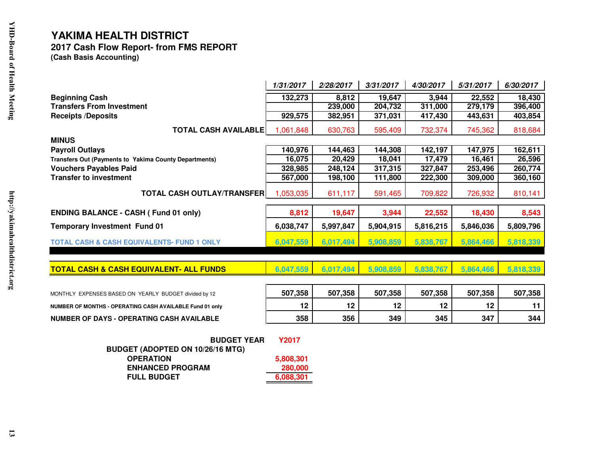## **2017 Cash Flow Report- from FMS REPORT (Cash Basis Accounting)**

|                                                               | 1/31/2017    | 2/28/2017 | 3/31/2017 | 4/30/2017 | 5/31/2017 | 6/30/2017 |  |
|---------------------------------------------------------------|--------------|-----------|-----------|-----------|-----------|-----------|--|
| <b>Beginning Cash</b>                                         | 132,273      | 8,812     | 19,647    | 3,944     | 22,552    | 18,430    |  |
| <b>Transfers From Investment</b>                              |              | 239,000   | 204,732   | 311,000   | 279,179   | 396,400   |  |
| <b>Receipts /Deposits</b>                                     | 929,575      | 382,951   | 371,031   | 417,430   | 443,631   | 403,854   |  |
| <b>TOTAL CASH AVAILABLE</b>                                   | 1,061,848    | 630,763   | 595,409   | 732,374   | 745,362   | 818,684   |  |
| <b>MINUS</b>                                                  |              |           |           |           |           |           |  |
| <b>Payroll Outlays</b>                                        | 140,976      | 144,463   | 144,308   | 142,197   | 147,975   | 162,611   |  |
| Transfers Out (Payments to Yakima County Departments)         | 16,075       | 20,429    | 18,041    | 17,479    | 16,461    | 26,596    |  |
| <b>Vouchers Payables Paid</b>                                 | 328,985      | 248,124   | 317,315   | 327,847   | 253,496   | 260,774   |  |
| <b>Transfer to investment</b>                                 | 567,000      | 198,100   | 111,800   | 222,300   | 309,000   | 360,160   |  |
| <b>TOTAL CASH OUTLAY/TRANSFER</b>                             | 1,053,035    | 611,117   | 591,465   | 709,822   | 726,932   | 810,141   |  |
| <b>ENDING BALANCE - CASH (Fund 01 only)</b>                   | 8,812        | 19,647    | 3,944     | 22,552    | 18,430    | 8,543     |  |
| <b>Temporary Investment Fund 01</b>                           | 6,038,747    | 5,997,847 | 5,904,915 | 5,816,215 | 5,846,036 | 5,809,796 |  |
| <b>TOTAL CASH &amp; CASH EQUIVALENTS- FUND 1 ONLY</b>         | 6,047,559    | 6,017,494 | 5,908,859 | 5,838,767 | 5,864,466 | 5,818,339 |  |
| <b>TOTAL CASH &amp; CASH EQUIVALENT- ALL FUNDS</b>            | 6,047,559    | 6,017,494 | 5,908,859 | 5,838,767 | 5,864,466 | 5,818,339 |  |
|                                                               |              |           |           |           |           |           |  |
| MONTHLY EXPENSES BASED ON YEARLY BUDGET divided by 12         | 507,358      | 507,358   | 507,358   | 507,358   | 507,358   | 507,358   |  |
| NUMBER OF MONTHS - OPERATING CASH AVAILABLE Fund 01 only      | 12           | 12        | 12        | 12        | 12        | 11        |  |
| <b>NUMBER OF DAYS - OPERATING CASH AVAILABLE</b>              | 358          | 356       | 349       | 345       | 347       | 344       |  |
| <b>BUDGET YEAR</b><br><b>BUDGET (ADOPTED ON 10/26/16 MTG)</b> | <b>Y2017</b> |           |           |           |           |           |  |
| <b>OPERATION</b>                                              | 5,808,301    |           |           |           |           |           |  |
| <b>ENHANCED PROGRAM</b>                                       | 280,000      |           |           |           |           |           |  |
| <b>FULL BUDGET</b>                                            | 6,088,301    |           |           |           |           |           |  |

**6,088,301**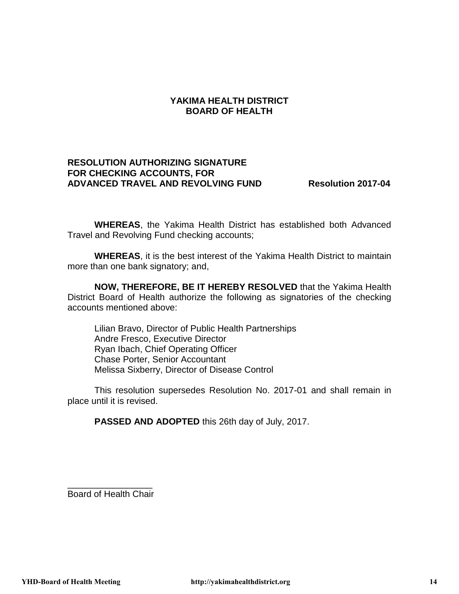#### **RESOLUTION AUTHORIZING SIGNATURE FOR CHECKING ACCOUNTS, FOR ADVANCED TRAVEL AND REVOLVING FUND Resolution 2017-04**

**WHEREAS**, the Yakima Health District has established both Advanced Travel and Revolving Fund checking accounts;

**WHEREAS**, it is the best interest of the Yakima Health District to maintain more than one bank signatory; and,

**NOW, THEREFORE, BE IT HEREBY RESOLVED** that the Yakima Health District Board of Health authorize the following as signatories of the checking accounts mentioned above:

Lilian Bravo, Director of Public Health Partnerships Andre Fresco, Executive Director Ryan Ibach, Chief Operating Officer Chase Porter, Senior Accountant Melissa Sixberry, Director of Disease Control

This resolution supersedes Resolution No. 2017-01 and shall remain in place until it is revised.

**PASSED AND ADOPTED** this 26th day of July, 2017.

\_\_\_\_\_\_\_\_\_\_\_\_\_\_\_\_\_ Board of Health Chair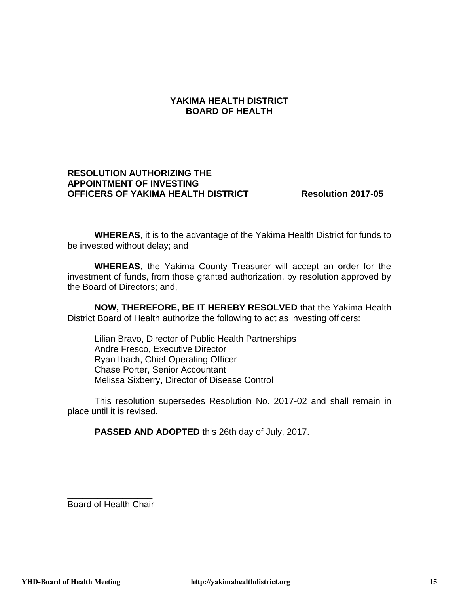#### **RESOLUTION AUTHORIZING THE APPOINTMENT OF INVESTING OFFICERS OF YAKIMA HEALTH DISTRICT Resolution 2017-05**

**WHEREAS**, it is to the advantage of the Yakima Health District for funds to be invested without delay; and

**WHEREAS**, the Yakima County Treasurer will accept an order for the investment of funds, from those granted authorization, by resolution approved by the Board of Directors; and,

**NOW, THEREFORE, BE IT HEREBY RESOLVED** that the Yakima Health District Board of Health authorize the following to act as investing officers:

Lilian Bravo, Director of Public Health Partnerships Andre Fresco, Executive Director Ryan Ibach, Chief Operating Officer Chase Porter, Senior Accountant Melissa Sixberry, Director of Disease Control

This resolution supersedes Resolution No. 2017-02 and shall remain in place until it is revised.

**PASSED AND ADOPTED** this 26th day of July, 2017.

\_\_\_\_\_\_\_\_\_\_\_\_\_\_\_\_\_ Board of Health Chair